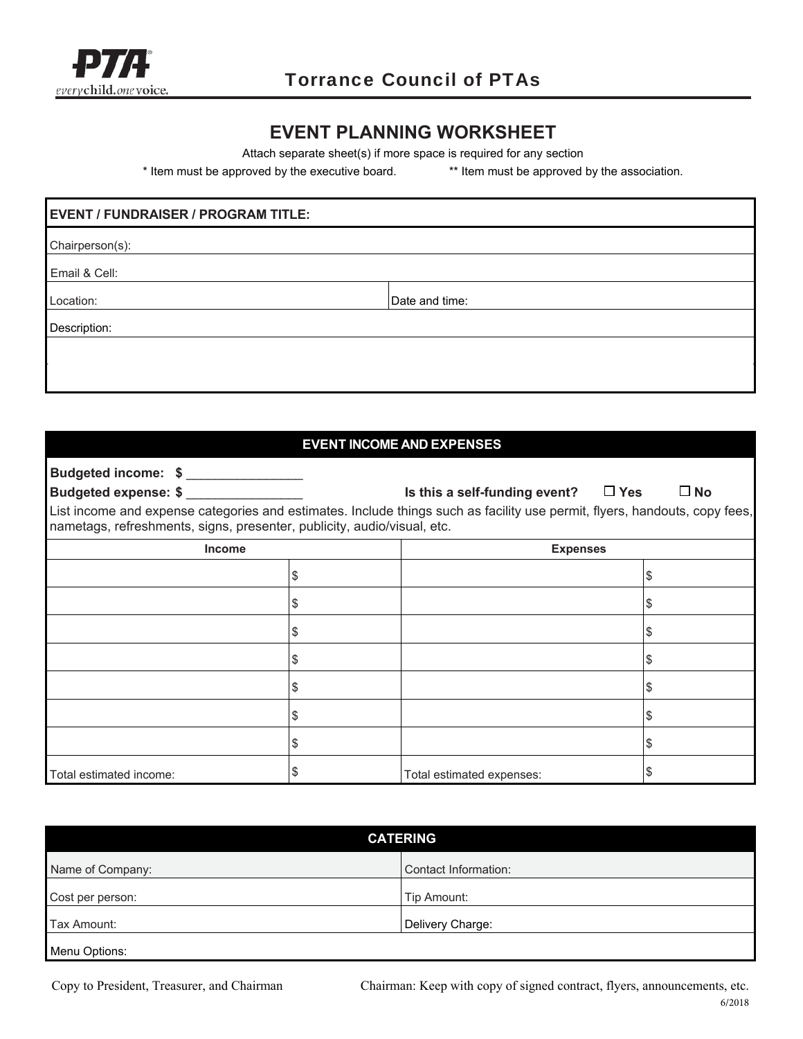

## **EVENT PLANNING WORKSHEET**

Attach separate sheet(s) if more space is required for any section

\* Item must be approved by the executive board. \*\* Item must be approved by the association.

# **EVENT / FUNDRAISER / PROGRAM TITLE:**  Chairperson(s): Email & Cell: Location:  $\Box$ Description:

#### **EVENT INCOME AND EXPENSES**

| Budgeted income: \$                                                     |                                                                                                                            |              |
|-------------------------------------------------------------------------|----------------------------------------------------------------------------------------------------------------------------|--------------|
| <b>Budgeted expense: \$</b>                                             | Is this a self-funding event? $\Box$ Yes                                                                                   | $\square$ No |
| nametags, refreshments, signs, presenter, publicity, audio/visual, etc. | List income and expense categories and estimates. Include things such as facility use permit, flyers, handouts, copy fees, |              |
| <b>Income</b>                                                           | <b>Expenses</b>                                                                                                            |              |
|                                                                         | \$                                                                                                                         | P            |
|                                                                         | \$                                                                                                                         | S            |
|                                                                         | \$                                                                                                                         |              |
|                                                                         | \$                                                                                                                         | æ.           |
|                                                                         | \$                                                                                                                         |              |
|                                                                         | \$                                                                                                                         |              |
|                                                                         | \$                                                                                                                         | æ.           |
| Total estimated income:                                                 | Total estimated expenses:                                                                                                  |              |

| <b>CATERING</b>  |                      |  |
|------------------|----------------------|--|
| Name of Company: | Contact Information: |  |
| Cost per person: | Tip Amount:          |  |
| Tax Amount:      | Delivery Charge:     |  |
| Menu Options:    |                      |  |

Copy to President, Treasurer, and Chairman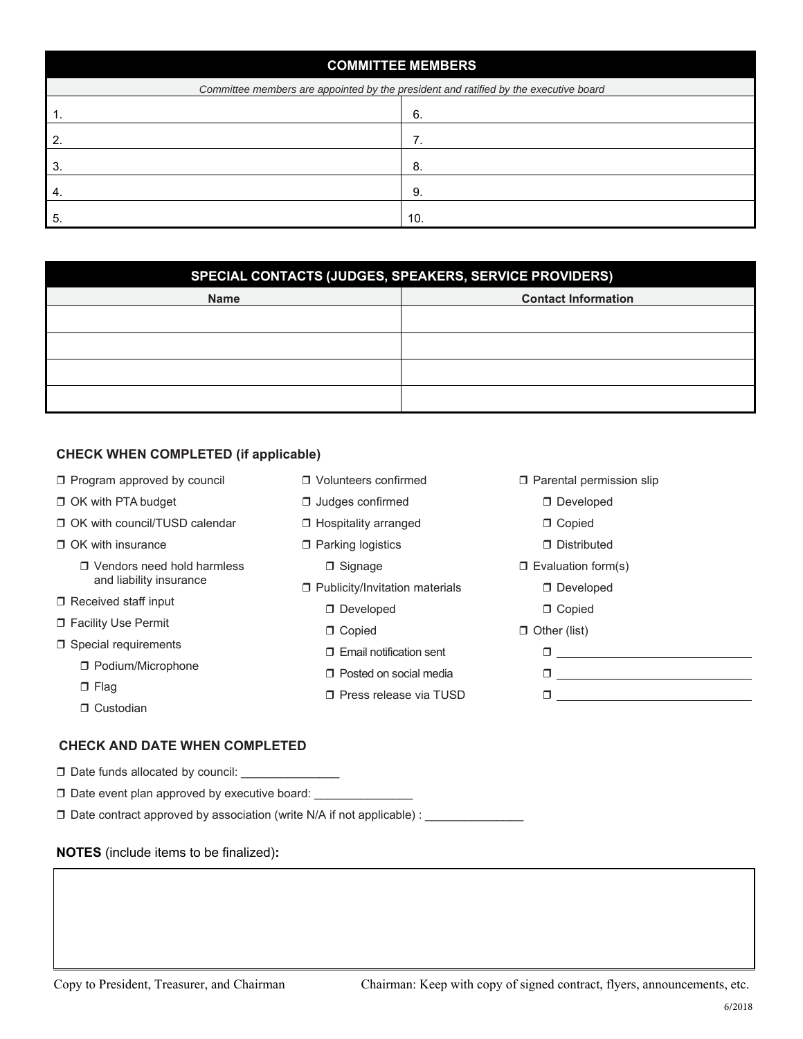| <b>COMMITTEE MEMBERS</b> |                                                                                      |  |  |
|--------------------------|--------------------------------------------------------------------------------------|--|--|
|                          | Committee members are appointed by the president and ratified by the executive board |  |  |
| . .                      | 6.                                                                                   |  |  |
|                          |                                                                                      |  |  |
| 3                        | 8                                                                                    |  |  |
| 4.                       | 9.                                                                                   |  |  |
| 5                        | 10.                                                                                  |  |  |

| SPECIAL CONTACTS (JUDGES, SPEAKERS, SERVICE PROVIDERS) |                            |  |  |
|--------------------------------------------------------|----------------------------|--|--|
| <b>Name</b>                                            | <b>Contact Information</b> |  |  |
|                                                        |                            |  |  |
|                                                        |                            |  |  |
|                                                        |                            |  |  |
|                                                        |                            |  |  |

### **CHECK WHEN COMPLETED (if applicable)**

| $\Box$ Program approved by council | □ Volunteers confirmed           | □ Parental permission slip |  |
|------------------------------------|----------------------------------|----------------------------|--|
| □ OK with PTA budget               | $\Box$ Judges confirmed          | Developed                  |  |
| □ OK with council/TUSD calendar    | □ Hospitality arranged           | □ Copied                   |  |
| □ OK with insurance                | □ Parking logistics              | □ Distributed              |  |
| □ Vendors need hold harmless       | $\Box$ Signage                   | $\Box$ Evaluation form(s)  |  |
| and liability insurance            | □ Publicity/Invitation materials | Developed                  |  |
| $\Box$ Received staff input        | Developed                        | □ Copied                   |  |
| □ Facility Use Permit              | D Copied                         | $\Box$ Other (list)        |  |
| □ Special requirements             | □ Email notification sent        |                            |  |
| □ Podium/Microphone                | □ Posted on social media         |                            |  |
| $\Box$ Flag                        | □ Press release via TUSD         |                            |  |
| □ Custodian                        |                                  |                            |  |

#### **CHECK AND DATE WHEN COMPLETED**

| □ Date funds allocated by council: |  |
|------------------------------------|--|
|------------------------------------|--|

 $\square$  Date event plan approved by executive board:  $\square$ 

□ Date contract approved by association (write N/A if not applicable) : \_\_\_\_\_\_\_\_\_\_\_\_\_

#### **NOTES** (include items to be finalized)**:**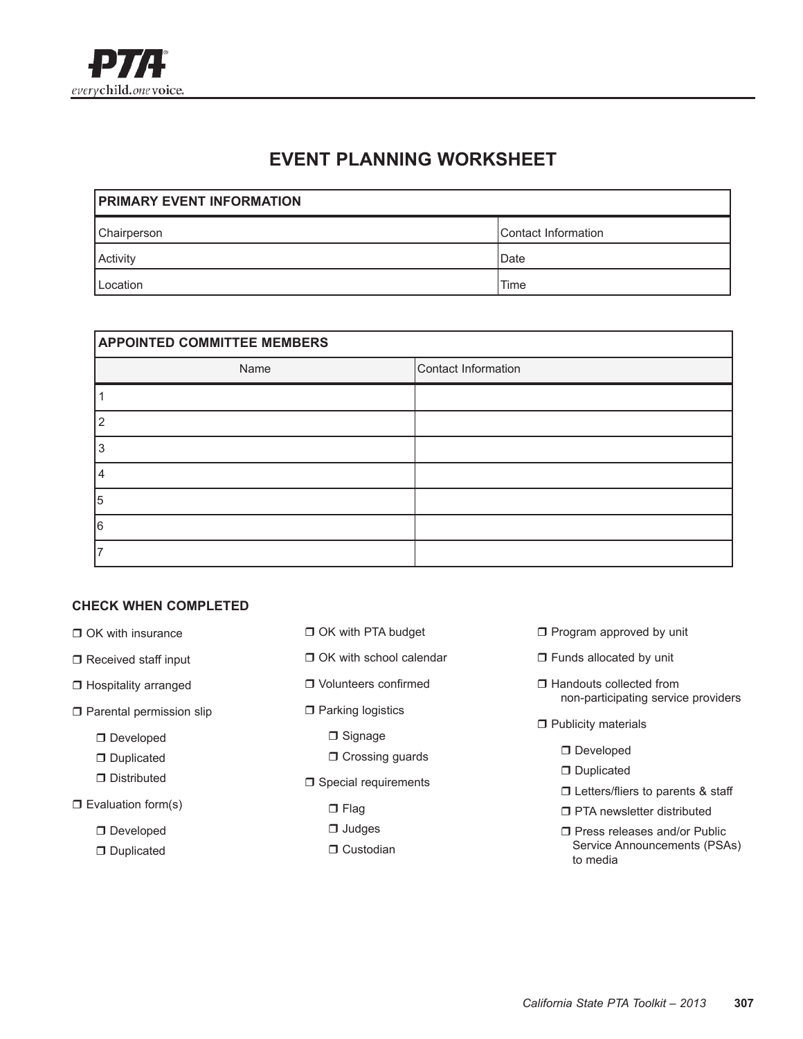

## **EVENT PLANNING WORKSHEET**

| <b>PRIMARY EVENT INFORMATION</b> |                     |  |  |
|----------------------------------|---------------------|--|--|
| Chairperson                      | Contact Information |  |  |
| Activity                         | Date                |  |  |
| Location                         | Time                |  |  |

| <b>APPOINTED COMMITTEE MEMBERS</b> |                     |  |  |
|------------------------------------|---------------------|--|--|
| Name                               | Contact Information |  |  |
|                                    |                     |  |  |
|                                    |                     |  |  |
|                                    |                     |  |  |
|                                    |                     |  |  |
| 5                                  |                     |  |  |
| 16                                 |                     |  |  |
|                                    |                     |  |  |

#### **CHECK WHEN COMPLETED**

- $\Box$  OK with insurance
- $\Box$  Received staff input
- $\Box$  Hospitality arranged
- $\Box$  Parental permission slip
	- $\Box$  Developed
	- $\Box$  Duplicated
	- $\Box$  Distributed
- $\square$  Evaluation form(s)
	- $\Box$  Developed
	- $\Box$  Duplicated
- **D** OK with PTA budget
- $\Box$  OK with school calendar
- $\Box$  Volunteers confirmed
- $\square$  Parking logistics
	- $\Box$  Signage
	- $\Box$  Crossing guards
- $\Box$  Special requirements
	- $\Box$  Flag
	- $\Box$  Judges
	- $\Box$  Custodian
- $\Box$  Program approved by unit
- $\Box$  Funds allocated by unit
- $\Box$  Handouts collected from non-participating service providers
- $\Box$  Publicity materials
	- **D** Developed
	- $\Box$  Duplicated
	- $\square$  Letters/fliers to parents & staff
	- $\Box$  PTA newsletter distributed
	- $\Box$  Press releases and/or Public Service Announcements (PSAs) to media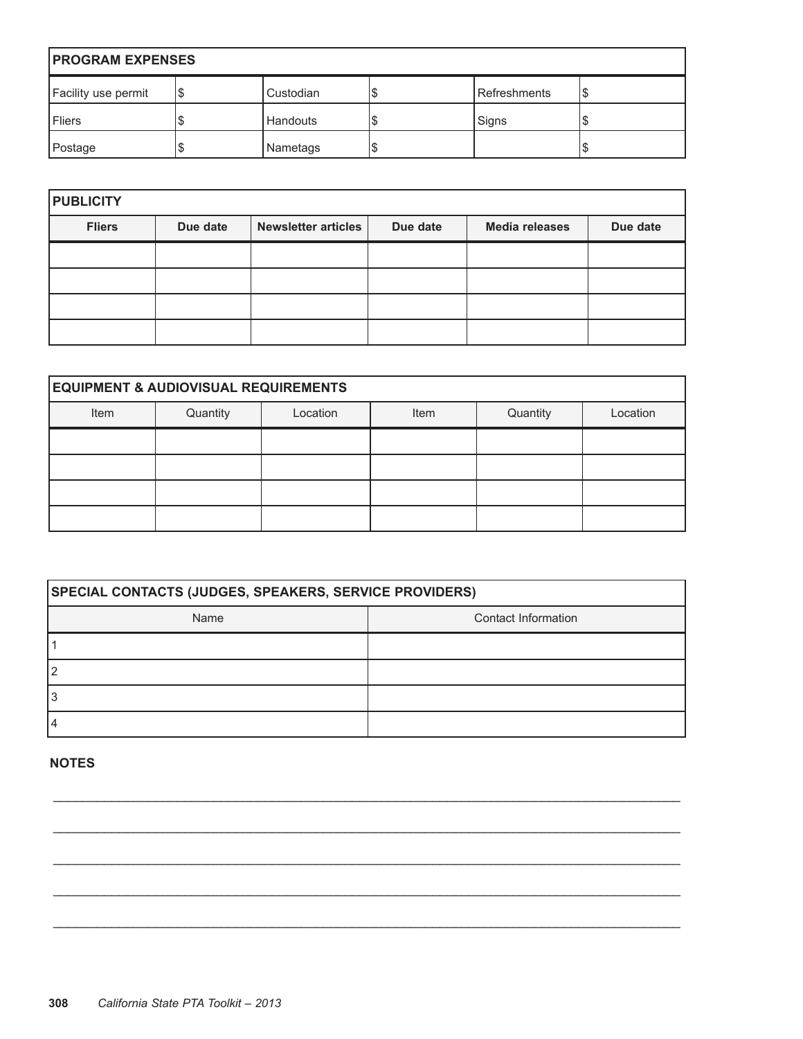| <b>PROGRAM EXPENSES</b> |   |                 |    |                |  |
|-------------------------|---|-----------------|----|----------------|--|
| Facility use permit     | S | Custodian       | S  | l Refreshments |  |
| l Fliers                |   | <b>Handouts</b> | S  | Signs          |  |
| Postage                 |   | Nametags        | \$ |                |  |

| <b>PUBLICITY</b> |          |                     |          |                       |          |
|------------------|----------|---------------------|----------|-----------------------|----------|
| <b>Fliers</b>    | Due date | Newsletter articles | Due date | <b>Media releases</b> | Due date |
|                  |          |                     |          |                       |          |
|                  |          |                     |          |                       |          |
|                  |          |                     |          |                       |          |
|                  |          |                     |          |                       |          |

| <b>EQUIPMENT &amp; AUDIOVISUAL REQUIREMENTS</b> |          |          |      |          |          |
|-------------------------------------------------|----------|----------|------|----------|----------|
| Item                                            | Quantity | Location | Item | Quantity | Location |
|                                                 |          |          |      |          |          |
|                                                 |          |          |      |          |          |
|                                                 |          |          |      |          |          |
|                                                 |          |          |      |          |          |

| <b>SPECIAL CONTACTS (JUDGES, SPEAKERS, SERVICE PROVIDERS)</b> |                     |  |  |
|---------------------------------------------------------------|---------------------|--|--|
| Name                                                          | Contact Information |  |  |
|                                                               |                     |  |  |
|                                                               |                     |  |  |
|                                                               |                     |  |  |
|                                                               |                     |  |  |

 $\_$  ,  $\_$  ,  $\_$  ,  $\_$  ,  $\_$  ,  $\_$  ,  $\_$  ,  $\_$  ,  $\_$  ,  $\_$  ,  $\_$  ,  $\_$  ,  $\_$  ,  $\_$  ,  $\_$  ,  $\_$  ,  $\_$  ,  $\_$  ,  $\_$  ,  $\_$  ,  $\_$  ,  $\_$  ,  $\_$  ,  $\_$  ,  $\_$  ,  $\_$  ,  $\_$  ,  $\_$  ,  $\_$  ,  $\_$  ,  $\_$  ,  $\_$  ,  $\_$  ,  $\_$  ,  $\_$  ,  $\_$  ,  $\_$  ,

 $\_$  ,  $\_$  ,  $\_$  ,  $\_$  ,  $\_$  ,  $\_$  ,  $\_$  ,  $\_$  ,  $\_$  ,  $\_$  ,  $\_$  ,  $\_$  ,  $\_$  ,  $\_$  ,  $\_$  ,  $\_$  ,  $\_$  ,  $\_$  ,  $\_$  ,  $\_$  ,  $\_$  ,  $\_$  ,  $\_$  ,  $\_$  ,  $\_$  ,  $\_$  ,  $\_$  ,  $\_$  ,  $\_$  ,  $\_$  ,  $\_$  ,  $\_$  ,  $\_$  ,  $\_$  ,  $\_$  ,  $\_$  ,  $\_$  ,

 $\_$  ,  $\_$  ,  $\_$  ,  $\_$  ,  $\_$  ,  $\_$  ,  $\_$  ,  $\_$  ,  $\_$  ,  $\_$  ,  $\_$  ,  $\_$  ,  $\_$  ,  $\_$  ,  $\_$  ,  $\_$  ,  $\_$  ,  $\_$  ,  $\_$  ,  $\_$  ,  $\_$  ,  $\_$  ,  $\_$  ,  $\_$  ,  $\_$  ,  $\_$  ,  $\_$  ,  $\_$  ,  $\_$  ,  $\_$  ,  $\_$  ,  $\_$  ,  $\_$  ,  $\_$  ,  $\_$  ,  $\_$  ,  $\_$  ,

 $\_$  ,  $\_$  ,  $\_$  ,  $\_$  ,  $\_$  ,  $\_$  ,  $\_$  ,  $\_$  ,  $\_$  ,  $\_$  ,  $\_$  ,  $\_$  ,  $\_$  ,  $\_$  ,  $\_$  ,  $\_$  ,  $\_$  ,  $\_$  ,  $\_$  ,  $\_$  ,  $\_$  ,  $\_$  ,  $\_$  ,  $\_$  ,  $\_$  ,  $\_$  ,  $\_$  ,  $\_$  ,  $\_$  ,  $\_$  ,  $\_$  ,  $\_$  ,  $\_$  ,  $\_$  ,  $\_$  ,  $\_$  ,  $\_$  ,

 $\_$  ,  $\_$  ,  $\_$  ,  $\_$  ,  $\_$  ,  $\_$  ,  $\_$  ,  $\_$  ,  $\_$  ,  $\_$  ,  $\_$  ,  $\_$  ,  $\_$  ,  $\_$  ,  $\_$  ,  $\_$  ,  $\_$  ,  $\_$  ,  $\_$  ,  $\_$  ,  $\_$  ,  $\_$  ,  $\_$  ,  $\_$  ,  $\_$  ,  $\_$  ,  $\_$  ,  $\_$  ,  $\_$  ,  $\_$  ,  $\_$  ,  $\_$  ,  $\_$  ,  $\_$  ,  $\_$  ,  $\_$  ,  $\_$  ,

#### **NOTES**